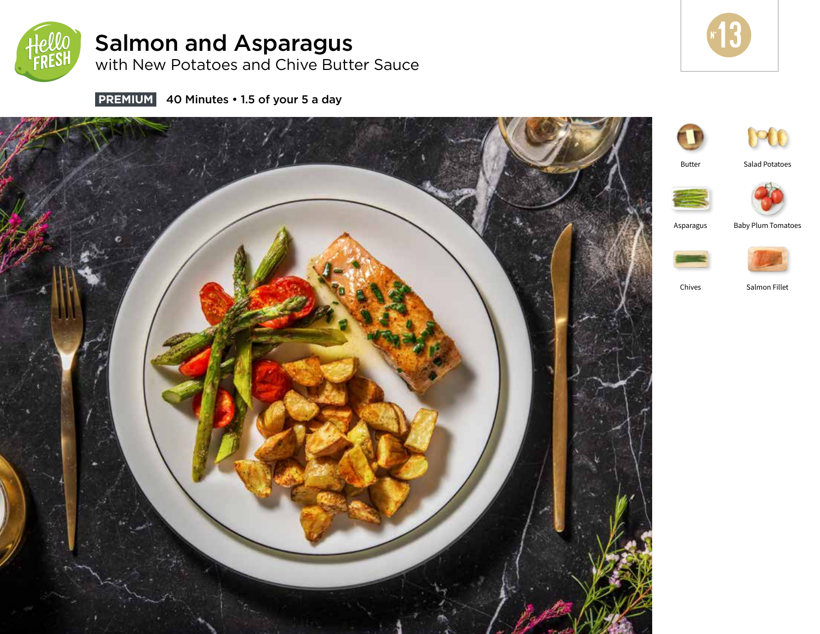

# Salmon and Asparagus

with New Potatoes and Chive Butter Sauce



Salad Potatoes

pto

**PREMIUM** 40 Minutes • 1.5 of your 5 a day